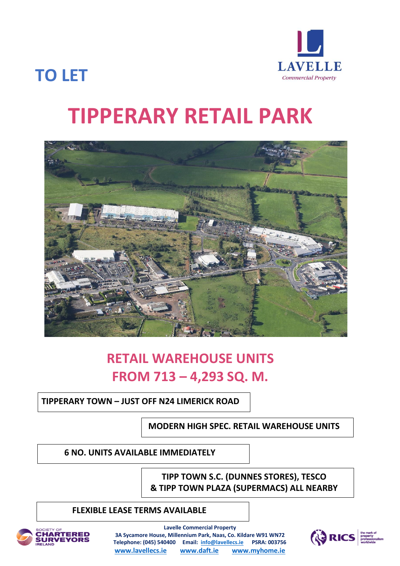

## **TO LET**

# **TIPPERARY RETAIL PARK**



## **RETAIL WAREHOUSE UNITS FROM 713 – 4,293 SQ. M.**

### **TIPPERARY TOWN – JUST OFF N24 LIMERICK ROAD**

**MODERN HIGH SPEC. RETAIL WAREHOUSE UNITS**

**ABBEY MOATER HOUSE ABBEY 6 NO. UNITS AVAILABLE IMMEDIATELY**

> **TIPP TOWN S.C. (DUNNES STORES), TESCO & TIPP TOWN PLAZA (SUPERMACS) ALL NEARBY**

### **FLEXIBLE LEASE TERMS AVAILABLE**



**Lavelle Commercial Property 3A Sycamore House, Millennium Park, Naas, Co. Kildare W91 WN72 Telephone: (045) 540400 Email: [info@lavellecs.ie](mailto:info@lavellecs.ie) PSRA: 003756 [www.lavellecs.ie](http://www.lavellecs.ie/) [www.daft.ie](http://www.daft.ie/) [www.myhome.ie](http://www.myhome.ie/)**